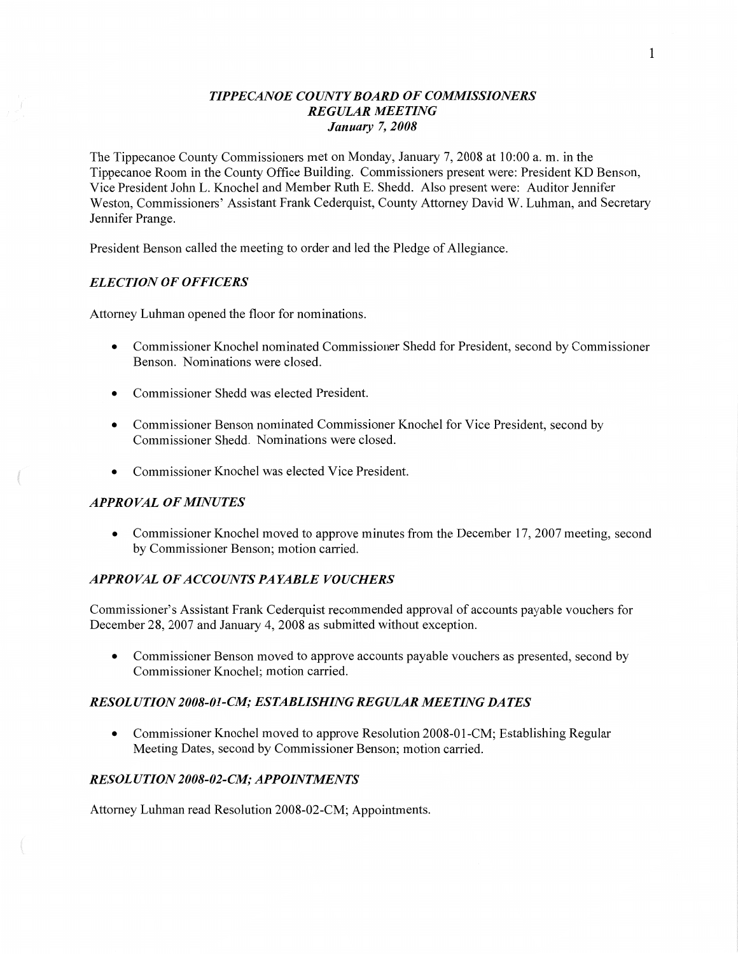## *TIPPE CANOE COUNTY BOARD* OF *COMMISSIONERS REGULAR MEETING January* 7, *2008*

The Tippecanoe County Commissioners met on Monday, January 7, 2008 at 10:00 a. m. in the Tippecanoe Room in the County Office Building. Commissioners present were: President KD Benson, **Vice** President John L. Knochel and Member Ruth E. Shedd. Also present were: Auditor Jennifer Weston, Commissioners' Assistant Frank Cederquist, County Attorney David W. **Luhman,** and Secretary Jennifer Prange.

President Benson called the meeting to order and led the Pledge of Allegiance.

## *ELECTION* OF *OFFICERS*

Attorney Luhman opened the floor for nominations.

- **0** Commissioner Knochel nominated Commissioner Shedd for President, second by Commissioner **Benson.** Nominations were **closed.**
- **0** Commissioner Shedd was elected President.
- **0** Commissioner Benson nominated Commissioner Knochel for Vice President, second by Commissioner Shedd. Nominations were closed.
- **0** Commissioner Knochel was elected Vice President.

## *APPROVAL* OF *MINUTES*

**0** Commissioner Knochel moved to **approve** minutes from the December 17, 2007 meeting, second by Commissioner Benson; motion carried.

## *APPROVAL* OF *ACCOUNT S PAYABLE VOUCHERS*

Commissioner's Assistant Frank Cederquist recommended approval of accounts payable vouchers for December 28, 2007 and January 4, 2008 as submitted without exception.

**0** Commissioner Benson moved to approve accounts payable vouchers as presented, second by Commissioner Knochel; motion carried.

## *RESOL UTION2008-01-C1M; ESTABLISHING REGULAR MEETING DATES*

**0** Commissioner Knochel moved to approve Resolution 2008-01-CM; Establishing Regular Meeting Dates, second by Commissioner Benson; motion carried.

## *RESOL U T I* 0N *2008-02-C.M; APPOINTMENTS*

Attorney Luhman read Resolution 2008-02-CM; Appointments.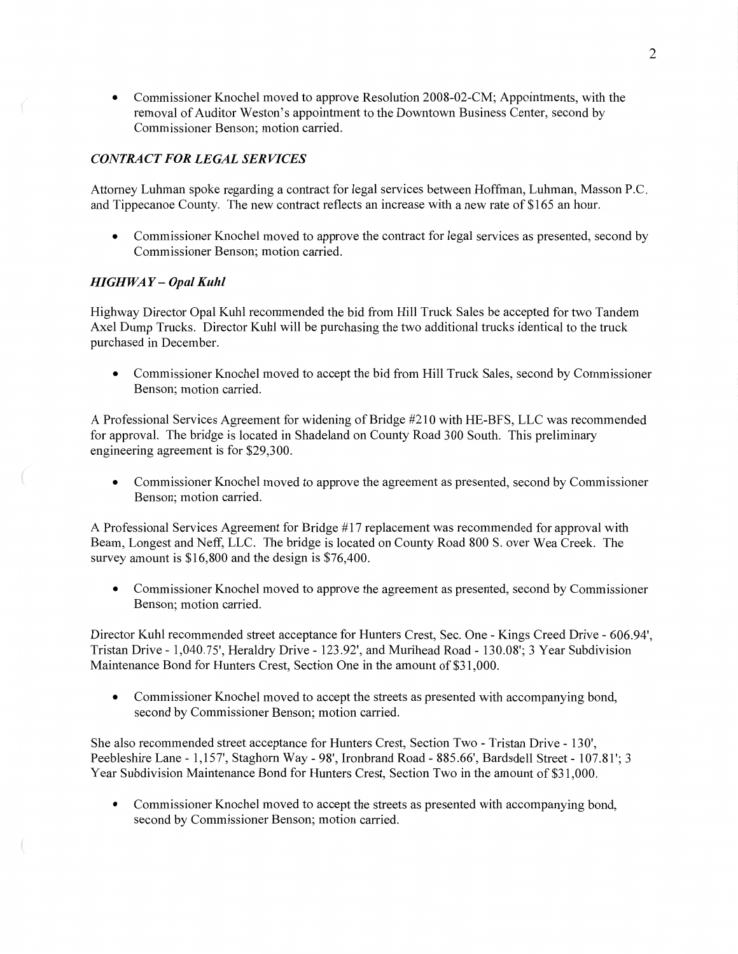**0** Commissioner Knochel moved to approve Resolution 2008-02-CM; Appointments, with the removal of Auditor Weston's appointment to the Downtown Business Center, second by Commissioner Benson; motion carried.

## *CONTRACT* FOR *LEGAL SERVICES*

Attorney Luhman spoke regarding a contract for legal services between Hoffman, Luhman, Masson **RC.**  and Tippecanoe County. The new contract reflects an increase with a new rate of \$165 an hour.

**0** Commissioner Knochel moved to approve the contract for legal services as presented, second by Commissioner Benson; motion carried.

#### *HIGHWAY* — *Opal Kuhl*

Highway Director Opal Kuhl recommended the bid from Hill Truck **Sales** be accepted for two Tandem Axel **Dump** Trucks. Director Kuhl will be purchasing the two additional trucks identical to the **truck**  purchased in December.

**0** Commissioner Knochel moved to accept the bid from Hill Truck Sales, second by Commissioner Benson; motion carried.

**A** Professional Services Agreement for widening of Bridge #210 with HE—BFS, LLC was recommended for approval. The bridge is located in Shadeland on County Road 300 South. This preliminary engineering agreement is for \$29,300.

*0* Commissioner Knochel moved to approve the agreement as presented, second by Commissioner Benson; motion carried.

**A** Professional Services Agreement for Bridge #17 replacement was recommended for approval with Beam, Longest and Neff, LLC. The bridge is located on County Road 800 S. over Wea Creek. The survey amount is \$16,800 and the design is \$76,400.

**0** Commissioner Knochel moved to approve the agreement as presented, second by Commissioner Benson; motion carried.

Director Kuhl recommended street acceptance for Hunters Crest, **Sec.** One *-* Kings Creed Drive *-* 606.94', Tristan Drive *-* 1,040.75', Heraldry Drive *-* 123.92', and Murihead Road *-* 130.08'; 3 Year Subdivision Maintenance Bond for Hunters Crest, Section One in the amount of \$3 **1,000.** 

**0** Commissioner Knochel moved to accept the streets as presented with accompanying bond, second by Commissioner Benson; **motion** carried.

She also recommended street acceptance for Hunters Crest, Section Two *-* Tristan Drive *-* 130', Peebleshire Lane *-* **1,157',** Staghorn Way **— 98',** Ironbrand Road *-* 885 .66', Bardsdell Street *-* 107.81'; 3 Year Subdivision Maintenance Bond for Hunters Crest, Section Two in the amount of \$31,000.

**0** Commissioner Knochel **moved** to accept the streets as presented with accompanying bond, second by Commissioner **Benson;** motion carried.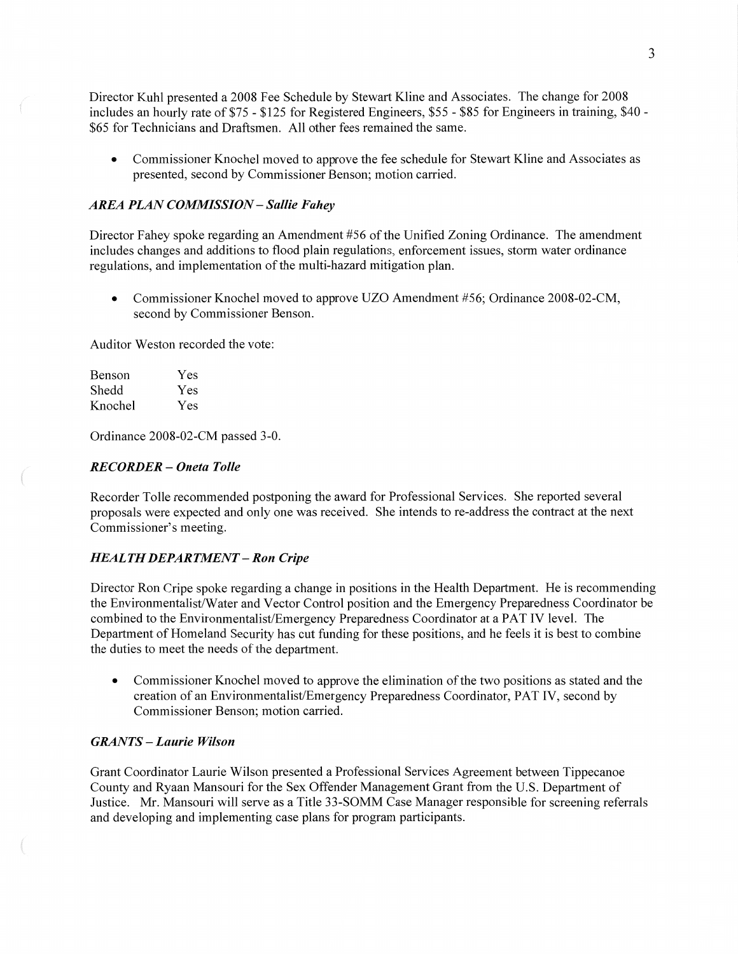Director Kuhl presented **a** 2008 Fee Schedule by Stewart Kline and Associates. The change for <sup>2008</sup> includes an hourly rate of \$75 *-* \$125 for Registered Engineers, \$55 *-* \$85 for Engineers in training, \$40 — \$65 for Technicians and Draftsmen. All other fees remained the same.

**0** Commissioner Knochel moved to approve the fee schedule for Stewart Kline and Associates as presented, second by Commissioner Benson; motion carried.

#### *AREA PLAN COMMISSION* - *Sallie F ahey*

Director Fahey spoke regarding an Amendment #56 of the Unified Zoning Ordinance. The amendment includes changes and additions to flood plain regulations, enforcement issues, storm water ordinance regulations, and implementation of the multi—hazard mitigation plan.

• Commissioner Knochel moved to approve UZO Amendment #56; Ordinance 2008-02-CM, second by Commissioner Benson.

Auditor Weston recorded the vote:

| Benson  | Yes |
|---------|-----|
| Shedd   | Yes |
| Knochel | Yes |

Ordinance 2008-02-CM passed 3-0.

## *RECORDER — Oneta Tolle*

Recorder Tolle recommended postponing the award for Professional Services. She reported several proposals were expected and only one was received. She intends to re-address the contract at the next Commissioner's meeting.

#### *HEALTH DEPARTMENT* **—** Ron *Cripe*

Director Ron Cripe spoke regarding a change in positions in the Health Department. He is recommending the Environmentalist/Water and Vector Control position and the Emergency Preparedness Coordinator be combined to the Environmentalist/Emergency Preparedness Coordinator at **a** PAT IV level. The Department of Homeland Security has cut funding for these positions, and he feels it is best to combine the duties to meet the needs of the department.

**0** Commissioner Knochel moved to approve the elimination of the two positions as stated and the creation of an Environmentalist/Emergency Preparedness Coordinator, PAT IV, second by Commissioner Benson; motion carried.

#### *GRANTS* — *Laurie Wilson*

Grant Coordinator Laurie Wilson presented a Professional Services Agreement between Tippecanoe County and Ryaan Mansouri for the Sex Offender Management Grant from the US. Department of Justice. Mr. Mansouri will serve as a Title 33-SOMM Case Manager responsible for screening referrals and developing and implementing case plans for program participants.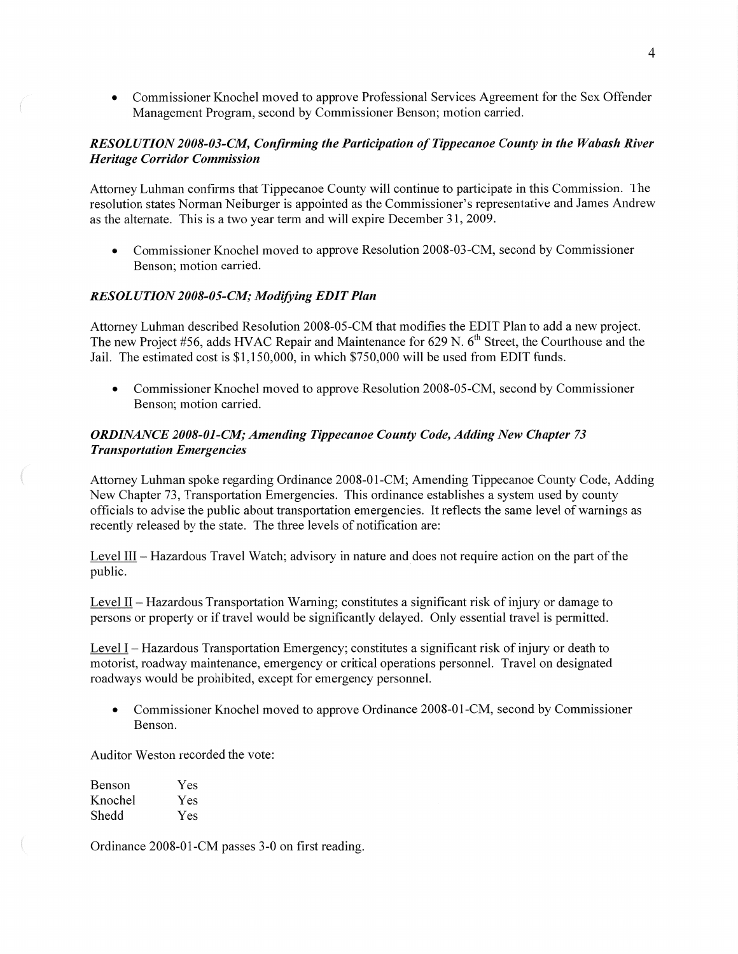**0** Commissioner Knochel moved to approve Professional Services Agreement for the Sex Offender Management Program, second by Commissioner Benson; motion carried.

## *RESOLUTION 2008—03—CM Confirming* the *Participation* of *Tippecanoe County* in the *Wabash River Heritage Corridor Commission*

Attorney Luhman confirms that Tippecanoe County will continue to participate in this Commission. The resolution states Norman Neiburger is appointed as the Commissioner's representative and James Andrew as the alternate. This is **a** two year term and will expire December 31, 2009.

• Commissioner Knochel moved to approve Resolution 2008-03-CM, second by Commissioner Benson; motion carried.

### *RESOLUTION 2008-05-C.M; Modifying EDIT Plan*

Attorney Luhman described Resolution 2008-05-CM that modifies the EDIT **Plan** to add a new project. The new Project #56, adds HVAC Repair and Maintenance for 629 N. 6<sup>th</sup> Street, the Courthouse and the Jail. The estimated cost is \$1,150,000, in which \$750,000 will be used from EDIT funds.

• Commissioner Knochel moved to approve Resolution 2008-05-CM, second by Commissioner Benson; motion carried.

### *ORDINANCE 2008-01—C1W; Amending Tippecanoe County Code, Adding* New *Chapter* 73 *Transportation Emergencies*

Attorney Luhman spoke regarding Ordinance 2008—01-CM; Amending Tippecanoe County Code, Adding New Chapter 73, Transportation Emergencies. This ordinance establishes a system used by county officials to advise the public about transportation emergencies. It reflects the same level of warnings as recently released by the state. The three levels of notification are:

Level III – Hazardous Travel Watch; advisory in nature and does not require action on the part of the public.

Level II – Hazardous Transportation Warning; constitutes a significant risk of injury or damage to persons or property or if travel would be significantly delayed. Only essential travel is permitted.

Level I – Hazardous Transportation Emergency; constitutes a significant risk of injury or death to motorist, roadway maintenance, emergency or critical operations personnel. Travel on designated roadways would be prohibited, except for emergency personnel.

**0** Commissioner Knochel moved to approve Ordinance 2008-01-CM, second by Commissioner Benson.

Auditor Weston recorded the vote:

| Benson  | Yes |
|---------|-----|
| Knochel | Yes |
| Shedd   | Yes |

Ordinance 2008-01-CM passes 3—0 on first reading.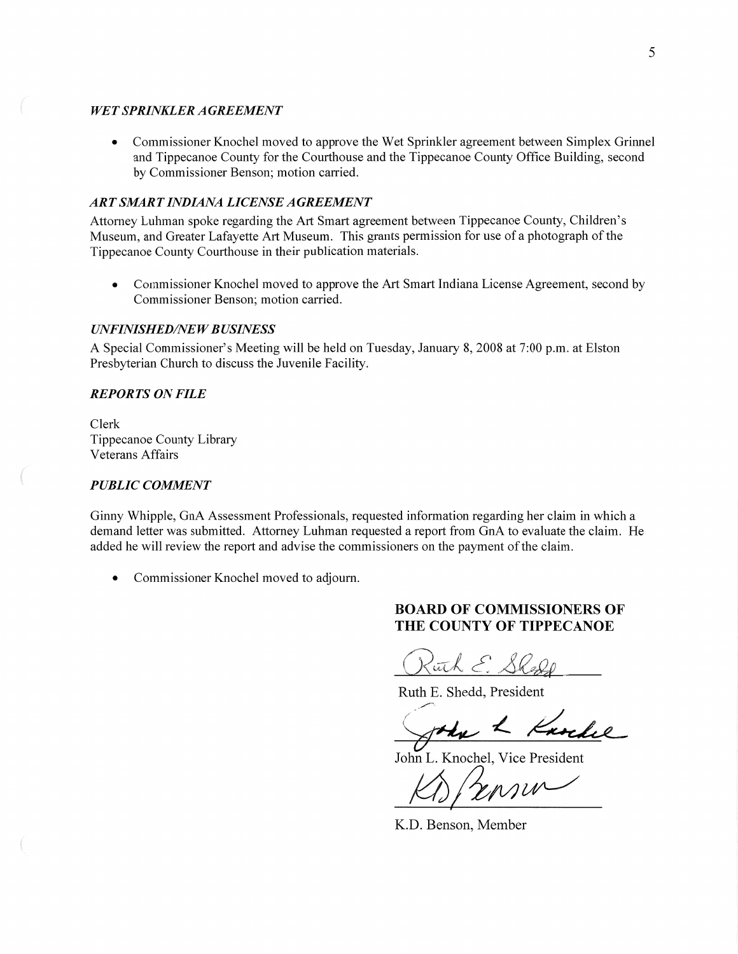#### WET *SPRINKLER A GREEMEN T*

**0** Commissioner Knochel moved to approve the Wet Sprinkler agreement between Simplex Grinnel and Tippecanoe County for the Courthouse and the Tippecanoe County Office Building, second by Commissioner Benson; motion carried.

## ART *SMART INDIANA LICENSE AGREEMENT*

Attorney Luhman spoke regarding the Art Smart agreement between Tippecanoe County, Children's Museum, and Greater Lafayette Art Museum. This grants permission for use of **a** photograph of the Tippecanoe County Courthouse in their publication materials.

**0** Commissioner Knochel moved to approve the Art Smart Indiana License Agreement, second by Commissioner Benson; motion carried.

#### *UNFINISHED/NEW BUSINESS*

**A** Special Commissioner's Meeting will be held on Tuesday, January 8, 2008 at 7:00 pm. at Elston Presbyterian Church to discuss the Juvenile Facility.

### *REPORTS* ON *FILE*

Clerk Tippecanoe County Library Veterans Affairs

#### *PUBLIC COMMENT*

Ginny Whipple, GnA Assessment Professionals, requested information regarding her claim in which a demand letter was submitted. Attorney Luhman requested **a** report from GnA to evaluate the claim. He added he will review the report and advise the commissioners on the payment of the claim.

*0* Commissioner Knochel moved to adjourn.

# **BOARD** OF **COMMISSIONERS** OF THE **COUNTY** OF **TIPPECANOE**

Ruth E. Shedd

Ruth E. Shedd, President

John L Karche

John L. Knochel, Vice President

 $K\rightarrow F$ 

K.D. Benson, Member